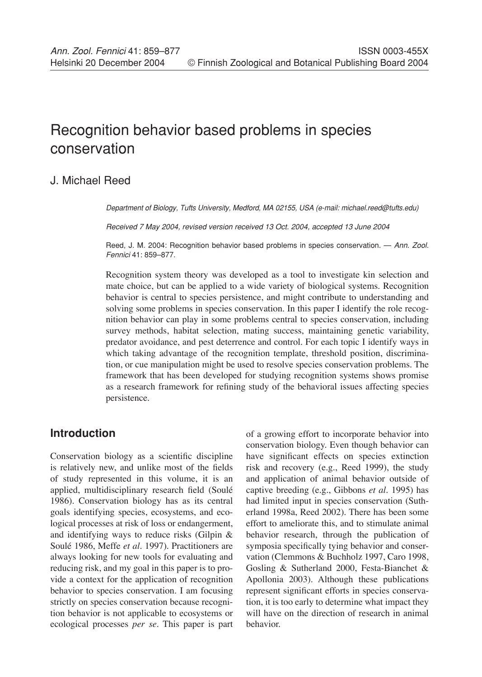# Recognition behavior based problems in species conservation

# J. Michael Reed

Department of Biology, Tufts University, Medford, MA 02155, USA (e-mail: michael.reed@tufts.edu)

Received 7 May 2004, revised version received 13 Oct. 2004, accepted 13 June 2004

Reed, J. M. 2004: Recognition behavior based problems in species conservation. - Ann. Zool. Fennici 41: 859–877.

Recognition system theory was developed as a tool to investigate kin selection and mate choice, but can be applied to a wide variety of biological systems. Recognition behavior is central to species persistence, and might contribute to understanding and solving some problems in species conservation. In this paper I identify the role recognition behavior can play in some problems central to species conservation, including survey methods, habitat selection, mating success, maintaining genetic variability, predator avoidance, and pest deterrence and control. For each topic I identify ways in which taking advantage of the recognition template, threshold position, discrimination, or cue manipulation might be used to resolve species conservation problems. The framework that has been developed for studying recognition systems shows promise as a research framework for refining study of the behavioral issues affecting species persistence.

# **Introduction**

Conservation biology as a scientific discipline is relatively new, and unlike most of the fields of study represented in this volume, it is an applied, multidisciplinary research field (Soulé 1986). Conservation biology has as its central goals identifying species, ecosystems, and ecological processes at risk of loss or endangerment, and identifying ways to reduce risks (Gilpin & Soulé 1986, Meffe *et al*. 1997). Practitioners are always looking for new tools for evaluating and reducing risk, and my goal in this paper is to provide a context for the application of recognition behavior to species conservation. I am focusing strictly on species conservation because recognition behavior is not applicable to ecosystems or ecological processes *per se*. This paper is part

of a growing effort to incorporate behavior into conservation biology. Even though behavior can have significant effects on species extinction risk and recovery (e.g., Reed 1999), the study and application of animal behavior outside of captive breeding (e.g., Gibbons *et al*. 1995) has had limited input in species conservation (Sutherland 1998a, Reed 2002). There has been some effort to ameliorate this, and to stimulate animal behavior research, through the publication of symposia specifically tying behavior and conservation (Clemmons & Buchholz 1997, Caro 1998, Gosling & Sutherland 2000, Festa-Bianchet & Apollonia 2003). Although these publications represent significant efforts in species conservation, it is too early to determine what impact they will have on the direction of research in animal behavior.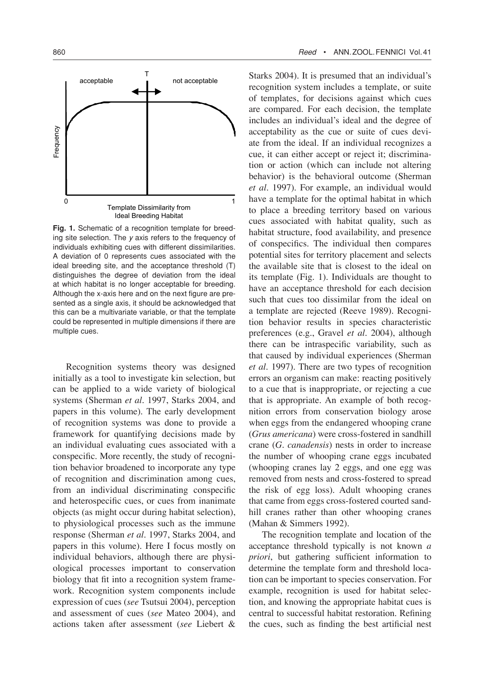

**Fig. 1.** Schematic of a recognition template for breeding site selection. The y axis refers to the frequency of individuals exhibiting cues with different dissimilarities. A deviation of 0 represents cues associated with the ideal breeding site, and the acceptance threshold (T) distinguishes the degree of deviation from the ideal at which habitat is no longer acceptable for breeding. Although the x-axis here and on the next figure are presented as a single axis, it should be acknowledged that this can be a multivariate variable, or that the template could be represented in multiple dimensions if there are multiple cues.

Recognition systems theory was designed initially as a tool to investigate kin selection, but can be applied to a wide variety of biological systems (Sherman *et al*. 1997, Starks 2004, and papers in this volume). The early development of recognition systems was done to provide a framework for quantifying decisions made by an individual evaluating cues associated with a conspecific. More recently, the study of recognition behavior broadened to incorporate any type of recognition and discrimination among cues, from an individual discriminating conspecific and heterospecific cues, or cues from inanimate objects (as might occur during habitat selection), to physiological processes such as the immune response (Sherman *et al*. 1997, Starks 2004, and papers in this volume). Here I focus mostly on individual behaviors, although there are physiological processes important to conservation biology that fit into a recognition system framework. Recognition system components include expression of cues (*see* Tsutsui 2004), perception and assessment of cues (*see* Mateo 2004), and actions taken after assessment (*see* Liebert &

Starks 2004). It is presumed that an individual's recognition system includes a template, or suite of templates, for decisions against which cues are compared. For each decision, the template includes an individual's ideal and the degree of acceptability as the cue or suite of cues deviate from the ideal. If an individual recognizes a cue, it can either accept or reject it; discrimination or action (which can include not altering behavior) is the behavioral outcome (Sherman *et al*. 1997). For example, an individual would have a template for the optimal habitat in which to place a breeding territory based on various cues associated with habitat quality, such as habitat structure, food availability, and presence of conspecifics. The individual then compares potential sites for territory placement and selects the available site that is closest to the ideal on its template (Fig. 1). Individuals are thought to have an acceptance threshold for each decision such that cues too dissimilar from the ideal on a template are rejected (Reeve 1989). Recognition behavior results in species characteristic preferences (e.g., Gravel *et al*. 2004), although there can be intraspecific variability, such as that caused by individual experiences (Sherman *et al*. 1997). There are two types of recognition errors an organism can make: reacting positively to a cue that is inappropriate, or rejecting a cue that is appropriate. An example of both recognition errors from conservation biology arose when eggs from the endangered whooping crane (*Grus americana*) were cross-fostered in sandhill crane (*G. canadensis*) nests in order to increase the number of whooping crane eggs incubated (whooping cranes lay 2 eggs, and one egg was removed from nests and cross-fostered to spread the risk of egg loss). Adult whooping cranes that came from eggs cross-fostered courted sandhill cranes rather than other whooping cranes (Mahan & Simmers 1992).

The recognition template and location of the acceptance threshold typically is not known *a priori*, but gathering sufficient information to determine the template form and threshold location can be important to species conservation. For example, recognition is used for habitat selection, and knowing the appropriate habitat cues is central to successful habitat restoration. Refining the cues, such as finding the best artificial nest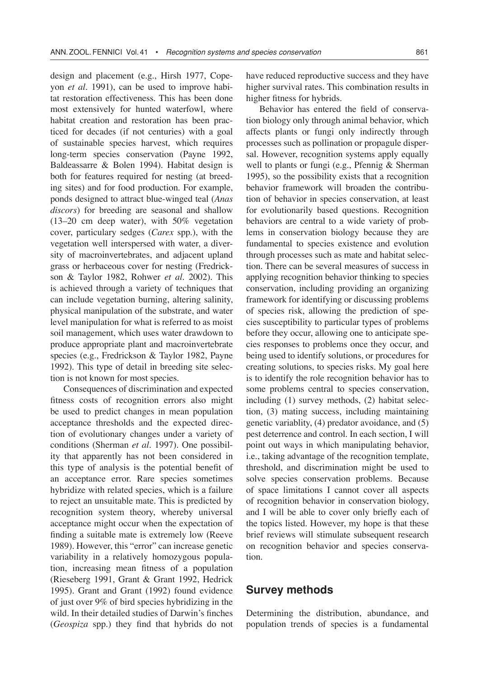design and placement (e.g., Hirsh 1977, Copeyon *et al*. 1991), can be used to improve habitat restoration effectiveness. This has been done most extensively for hunted waterfowl, where habitat creation and restoration has been practiced for decades (if not centuries) with a goal of sustainable species harvest, which requires long-term species conservation (Payne 1992, Baldeassarre & Bolen 1994). Habitat design is both for features required for nesting (at breeding sites) and for food production. For example, ponds designed to attract blue-winged teal (*Anas discors*) for breeding are seasonal and shallow (13–20 cm deep water), with 50% vegetation cover, particulary sedges (*Carex* spp.), with the vegetation well interspersed with water, a diversity of macroinvertebrates, and adjacent upland grass or herbaceous cover for nesting (Fredrickson & Taylor 1982, Rohwer *et al*. 2002). This is achieved through a variety of techniques that can include vegetation burning, altering salinity, physical manipulation of the substrate, and water level manipulation for what is referred to as moist soil management, which uses water drawdown to produce appropriate plant and macroinvertebrate species (e.g., Fredrickson & Taylor 1982, Payne 1992). This type of detail in breeding site selection is not known for most species.

Consequences of discrimination and expected fitness costs of recognition errors also might be used to predict changes in mean population acceptance thresholds and the expected direction of evolutionary changes under a variety of conditions (Sherman *et al*. 1997). One possibility that apparently has not been considered in this type of analysis is the potential benefit of an acceptance error. Rare species sometimes hybridize with related species, which is a failure to reject an unsuitable mate. This is predicted by recognition system theory, whereby universal acceptance might occur when the expectation of finding a suitable mate is extremely low (Reeve 1989). However, this "error" can increase genetic variability in a relatively homozygous population, increasing mean fitness of a population (Rieseberg 1991, Grant & Grant 1992, Hedrick 1995). Grant and Grant (1992) found evidence of just over 9% of bird species hybridizing in the wild. In their detailed studies of Darwin's finches (*Geospiza* spp.) they find that hybrids do not

have reduced reproductive success and they have higher survival rates. This combination results in higher fitness for hybrids.

Behavior has entered the field of conservation biology only through animal behavior, which affects plants or fungi only indirectly through processes such as pollination or propagule dispersal. However, recognition systems apply equally well to plants or fungi (e.g., Pfennig & Sherman 1995), so the possibility exists that a recognition behavior framework will broaden the contribution of behavior in species conservation, at least for evolutionarily based questions. Recognition behaviors are central to a wide variety of problems in conservation biology because they are fundamental to species existence and evolution through processes such as mate and habitat selection. There can be several measures of success in applying recognition behavior thinking to species conservation, including providing an organizing framework for identifying or discussing problems of species risk, allowing the prediction of species susceptibility to particular types of problems before they occur, allowing one to anticipate species responses to problems once they occur, and being used to identify solutions, or procedures for creating solutions, to species risks. My goal here is to identify the role recognition behavior has to some problems central to species conservation, including (1) survey methods, (2) habitat selection, (3) mating success, including maintaining genetic variablity, (4) predator avoidance, and (5) pest deterrence and control. In each section, I will point out ways in which manipulating behavior, i.e., taking advantage of the recognition template, threshold, and discrimination might be used to solve species conservation problems. Because of space limitations I cannot cover all aspects of recognition behavior in conservation biology, and I will be able to cover only briefly each of the topics listed. However, my hope is that these brief reviews will stimulate subsequent research on recognition behavior and species conservation.

## **Survey methods**

Determining the distribution, abundance, and population trends of species is a fundamental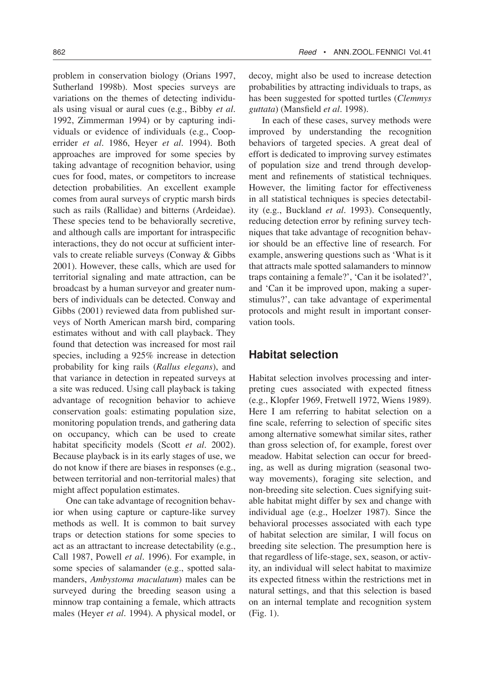problem in conservation biology (Orians 1997, Sutherland 1998b). Most species surveys are variations on the themes of detecting individuals using visual or aural cues (e.g., Bibby *et al*. 1992, Zimmerman 1994) or by capturing individuals or evidence of individuals (e.g., Cooperrider *et al*. 1986, Heyer *et al*. 1994). Both approaches are improved for some species by taking advantage of recognition behavior, using cues for food, mates, or competitors to increase detection probabilities. An excellent example comes from aural surveys of cryptic marsh birds such as rails (Rallidae) and bitterns (Ardeidae). These species tend to be behaviorally secretive, and although calls are important for intraspecific interactions, they do not occur at sufficient intervals to create reliable surveys (Conway & Gibbs 2001). However, these calls, which are used for territorial signaling and mate attraction, can be broadcast by a human surveyor and greater numbers of individuals can be detected. Conway and Gibbs (2001) reviewed data from published surveys of North American marsh bird, comparing estimates without and with call playback. They found that detection was increased for most rail species, including a 925% increase in detection probability for king rails (*Rallus elegans*), and that variance in detection in repeated surveys at a site was reduced. Using call playback is taking advantage of recognition behavior to achieve conservation goals: estimating population size, monitoring population trends, and gathering data on occupancy, which can be used to create habitat specificity models (Scott *et al*. 2002). Because playback is in its early stages of use, we do not know if there are biases in responses (e.g., between territorial and non-territorial males) that might affect population estimates.

One can take advantage of recognition behavior when using capture or capture-like survey methods as well. It is common to bait survey traps or detection stations for some species to act as an attractant to increase detectability (e.g., Call 1987, Powell *et al*. 1996). For example, in some species of salamander (e.g., spotted salamanders, *Ambystoma maculatum*) males can be surveyed during the breeding season using a minnow trap containing a female, which attracts males (Heyer *et al*. 1994). A physical model, or decoy, might also be used to increase detection probabilities by attracting individuals to traps, as has been suggested for spotted turtles (*Clemmys guttata*) (Mansfield *et al*. 1998).

In each of these cases, survey methods were improved by understanding the recognition behaviors of targeted species. A great deal of effort is dedicated to improving survey estimates of population size and trend through development and refinements of statistical techniques. However, the limiting factor for effectiveness in all statistical techniques is species detectability (e.g., Buckland *et al*. 1993). Consequently, reducing detection error by refining survey techniques that take advantage of recognition behavior should be an effective line of research. For example, answering questions such as 'What is it that attracts male spotted salamanders to minnow traps containing a female?', 'Can it be isolated?', and 'Can it be improved upon, making a superstimulus?', can take advantage of experimental protocols and might result in important conservation tools.

## **Habitat selection**

Habitat selection involves processing and interpreting cues associated with expected fitness (e.g., Klopfer 1969, Fretwell 1972, Wiens 1989). Here I am referring to habitat selection on a fine scale, referring to selection of specific sites among alternative somewhat similar sites, rather than gross selection of, for example, forest over meadow. Habitat selection can occur for breeding, as well as during migration (seasonal twoway movements), foraging site selection, and non-breeding site selection. Cues signifying suitable habitat might differ by sex and change with individual age (e.g., Hoelzer 1987). Since the behavioral processes associated with each type of habitat selection are similar, I will focus on breeding site selection. The presumption here is that regardless of life-stage, sex, season, or activity, an individual will select habitat to maximize its expected fitness within the restrictions met in natural settings, and that this selection is based on an internal template and recognition system (Fig. 1).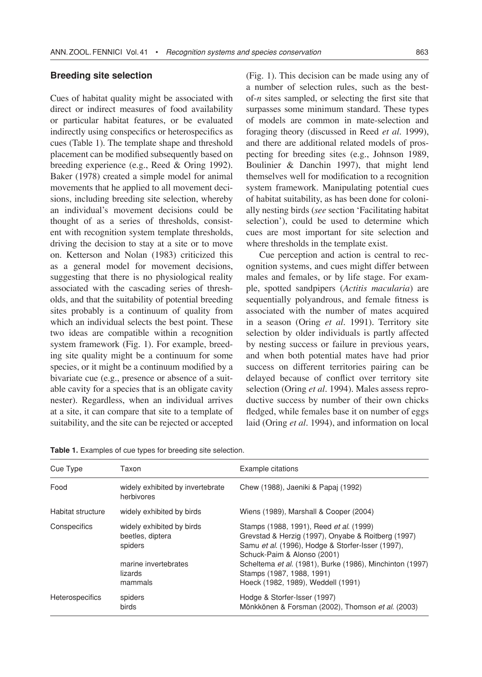#### **Breeding site selection**

Cues of habitat quality might be associated with direct or indirect measures of food availability or particular habitat features, or be evaluated indirectly using conspecifics or heterospecifics as cues (Table 1). The template shape and threshold placement can be modified subsequently based on breeding experience (e.g., Reed & Oring 1992). Baker (1978) created a simple model for animal movements that he applied to all movement decisions, including breeding site selection, whereby an individual's movement decisions could be thought of as a series of thresholds, consistent with recognition system template thresholds, driving the decision to stay at a site or to move on. Ketterson and Nolan (1983) criticized this as a general model for movement decisions, suggesting that there is no physiological reality associated with the cascading series of thresholds, and that the suitability of potential breeding sites probably is a continuum of quality from which an individual selects the best point. These two ideas are compatible within a recognition system framework (Fig. 1). For example, breeding site quality might be a continuum for some species, or it might be a continuum modified by a bivariate cue (e.g., presence or absence of a suitable cavity for a species that is an obligate cavity nester). Regardless, when an individual arrives at a site, it can compare that site to a template of suitability, and the site can be rejected or accepted (Fig. 1). This decision can be made using any of a number of selection rules, such as the bestof-*n* sites sampled, or selecting the first site that surpasses some minimum standard. These types of models are common in mate-selection and foraging theory (discussed in Reed *et al*. 1999), and there are additional related models of prospecting for breeding sites (e.g., Johnson 1989, Boulinier & Danchin 1997), that might lend themselves well for modification to a recognition system framework. Manipulating potential cues of habitat suitability, as has been done for colonially nesting birds (*see* section 'Facilitating habitat selection'), could be used to determine which cues are most important for site selection and where thresholds in the template exist.

Cue perception and action is central to recognition systems, and cues might differ between males and females, or by life stage. For example, spotted sandpipers (*Actitis macularia*) are sequentially polyandrous, and female fitness is associated with the number of mates acquired in a season (Oring *et al*. 1991). Territory site selection by older individuals is partly affected by nesting success or failure in previous years, and when both potential mates have had prior success on different territories pairing can be delayed because of conflict over territory site selection (Oring *et al*. 1994). Males assess reproductive success by number of their own chicks fledged, while females base it on number of eggs laid (Oring *et al*. 1994), and information on local

| Table 1. Examples of cue types for breeding site selection. |
|-------------------------------------------------------------|
|-------------------------------------------------------------|

| Cue Type          | Taxon                                                                                       | Example citations                                                                                                                                                                                                                                                          |  |
|-------------------|---------------------------------------------------------------------------------------------|----------------------------------------------------------------------------------------------------------------------------------------------------------------------------------------------------------------------------------------------------------------------------|--|
| Food              | widely exhibited by invertebrate<br>herbivores                                              | Chew (1988), Jaeniki & Papai (1992)                                                                                                                                                                                                                                        |  |
| Habitat structure | widely exhibited by birds                                                                   | Wiens (1989), Marshall & Cooper (2004)                                                                                                                                                                                                                                     |  |
| Conspecifics      | widely exhibited by birds<br>beetles, diptera<br>spiders<br>marine invertebrates<br>lizards | Stamps (1988, 1991), Reed et al. (1999)<br>Grevstad & Herzig (1997), Onyabe & Roitberg (1997)<br>Samu et al. (1996), Hodge & Storfer-Isser (1997),<br>Schuck-Paim & Alonso (2001)<br>Scheltema et al. (1981), Burke (1986), Minchinton (1997)<br>Stamps (1987, 1988, 1991) |  |
|                   | mammals                                                                                     | Hoeck (1982, 1989), Weddell (1991)                                                                                                                                                                                                                                         |  |
| Heterospecifics   | spiders<br>birds                                                                            | Hodge & Storfer-Isser (1997)<br>Mönkkönen & Forsman (2002), Thomson et al. (2003)                                                                                                                                                                                          |  |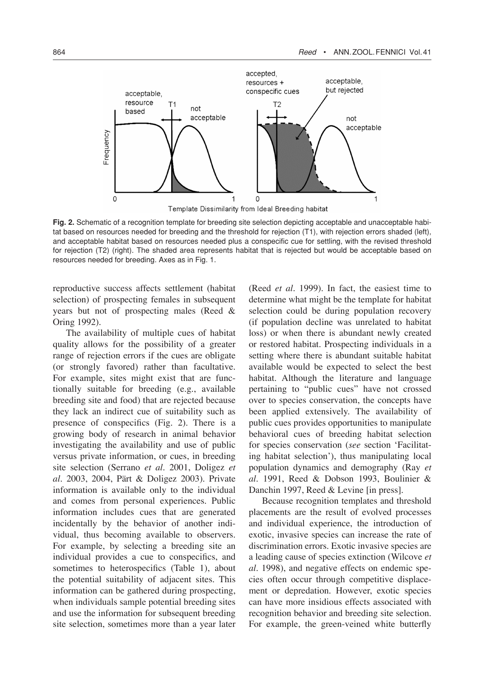

**Fig. 2.** Schematic of a recognition template for breeding site selection depicting acceptable and unacceptable habitat based on resources needed for breeding and the threshold for rejection (T1), with rejection errors shaded (left), and acceptable habitat based on resources needed plus a conspecific cue for settling, with the revised threshold for rejection (T2) (right). The shaded area represents habitat that is rejected but would be acceptable based on resources needed for breeding. Axes as in Fig. 1.

reproductive success affects settlement (habitat selection) of prospecting females in subsequent years but not of prospecting males (Reed & Oring 1992).

The availability of multiple cues of habitat quality allows for the possibility of a greater range of rejection errors if the cues are obligate (or strongly favored) rather than facultative. For example, sites might exist that are functionally suitable for breeding (e.g., available breeding site and food) that are rejected because they lack an indirect cue of suitability such as presence of conspecifics (Fig. 2). There is a growing body of research in animal behavior investigating the availability and use of public versus private information, or cues, in breeding site selection (Serrano *et al*. 2001, Doligez *et al*. 2003, 2004, Pärt & Doligez 2003). Private information is available only to the individual and comes from personal experiences. Public information includes cues that are generated incidentally by the behavior of another individual, thus becoming available to observers. For example, by selecting a breeding site an individual provides a cue to conspecifics, and sometimes to heterospecifics (Table 1), about the potential suitability of adjacent sites. This information can be gathered during prospecting, when individuals sample potential breeding sites and use the information for subsequent breeding site selection, sometimes more than a year later

(Reed *et al*. 1999). In fact, the easiest time to determine what might be the template for habitat selection could be during population recovery (if population decline was unrelated to habitat loss) or when there is abundant newly created or restored habitat. Prospecting individuals in a setting where there is abundant suitable habitat available would be expected to select the best habitat. Although the literature and language pertaining to "public cues" have not crossed over to species conservation, the concepts have been applied extensively. The availability of public cues provides opportunities to manipulate behavioral cues of breeding habitat selection for species conservation (*see* section 'Facilitating habitat selection'), thus manipulating local population dynamics and demography (Ray *et al*. 1991, Reed & Dobson 1993, Boulinier & Danchin 1997, Reed & Levine [in press].

Because recognition templates and threshold placements are the result of evolved processes and individual experience, the introduction of exotic, invasive species can increase the rate of discrimination errors. Exotic invasive species are a leading cause of species extinction (Wilcove *et al*. 1998), and negative effects on endemic species often occur through competitive displacement or depredation. However, exotic species can have more insidious effects associated with recognition behavior and breeding site selection. For example, the green-veined white butterfly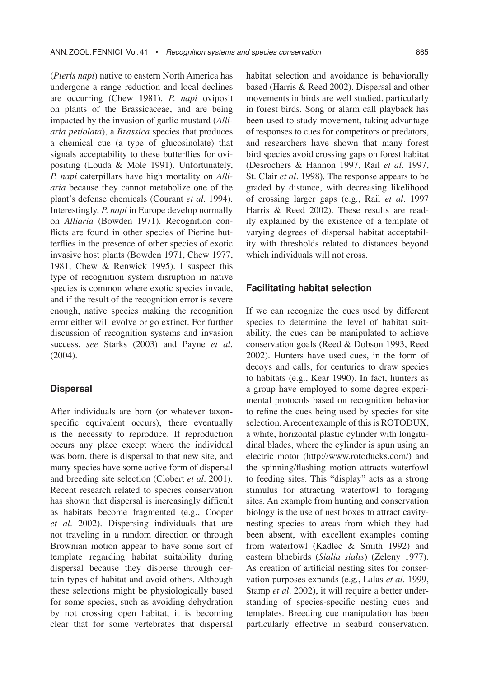(*Pieris napi*) native to eastern North America has undergone a range reduction and local declines are occurring (Chew 1981). *P. napi* oviposit on plants of the Brassicaceae, and are being impacted by the invasion of garlic mustard (*Alliaria petiolata*), a *Brassica* species that produces a chemical cue (a type of glucosinolate) that signals acceptability to these butterflies for ovipositing (Louda & Mole 1991). Unfortunately, *P. napi* caterpillars have high mortality on *Alliaria* because they cannot metabolize one of the plant's defense chemicals (Courant *et al*. 1994). Interestingly, *P. napi* in Europe develop normally on *Alliaria* (Bowden 1971). Recognition conflicts are found in other species of Pierine butterflies in the presence of other species of exotic invasive host plants (Bowden 1971, Chew 1977, 1981, Chew & Renwick 1995). I suspect this type of recognition system disruption in native species is common where exotic species invade, and if the result of the recognition error is severe enough, native species making the recognition error either will evolve or go extinct. For further discussion of recognition systems and invasion success, *see* Starks (2003) and Payne *et al*. (2004).

### **Dispersal**

After individuals are born (or whatever taxonspecific equivalent occurs), there eventually is the necessity to reproduce. If reproduction occurs any place except where the individual was born, there is dispersal to that new site, and many species have some active form of dispersal and breeding site selection (Clobert *et al*. 2001). Recent research related to species conservation has shown that dispersal is increasingly difficult as habitats become fragmented (e.g., Cooper *et al*. 2002). Dispersing individuals that are not traveling in a random direction or through Brownian motion appear to have some sort of template regarding habitat suitability during dispersal because they disperse through certain types of habitat and avoid others. Although these selections might be physiologically based for some species, such as avoiding dehydration by not crossing open habitat, it is becoming clear that for some vertebrates that dispersal

habitat selection and avoidance is behaviorally based (Harris & Reed 2002). Dispersal and other movements in birds are well studied, particularly in forest birds. Song or alarm call playback has been used to study movement, taking advantage of responses to cues for competitors or predators, and researchers have shown that many forest bird species avoid crossing gaps on forest habitat (Desrochers & Hannon 1997, Rail *et al*. 1997, St. Clair *et al*. 1998). The response appears to be graded by distance, with decreasing likelihood of crossing larger gaps (e.g., Rail *et al*. 1997 Harris & Reed 2002). These results are readily explained by the existence of a template of varying degrees of dispersal habitat acceptability with thresholds related to distances beyond which individuals will not cross.

#### **Facilitating habitat selection**

If we can recognize the cues used by different species to determine the level of habitat suitability, the cues can be manipulated to achieve conservation goals (Reed & Dobson 1993, Reed 2002). Hunters have used cues, in the form of decoys and calls, for centuries to draw species to habitats (e.g., Kear 1990). In fact, hunters as a group have employed to some degree experimental protocols based on recognition behavior to refine the cues being used by species for site selection. A recent example of this is ROTODUX, a white, horizontal plastic cylinder with longitudinal blades, where the cylinder is spun using an electric motor (http://www.rotoducks.com/) and the spinning/flashing motion attracts waterfowl to feeding sites. This "display" acts as a strong stimulus for attracting waterfowl to foraging sites. An example from hunting and conservation biology is the use of nest boxes to attract cavitynesting species to areas from which they had been absent, with excellent examples coming from waterfowl (Kadlec & Smith 1992) and eastern bluebirds (*Sialia sialis*) (Zeleny 1977). As creation of artificial nesting sites for conservation purposes expands (e.g., Lalas *et al*. 1999, Stamp *et al*. 2002), it will require a better understanding of species-specific nesting cues and templates. Breeding cue manipulation has been particularly effective in seabird conservation.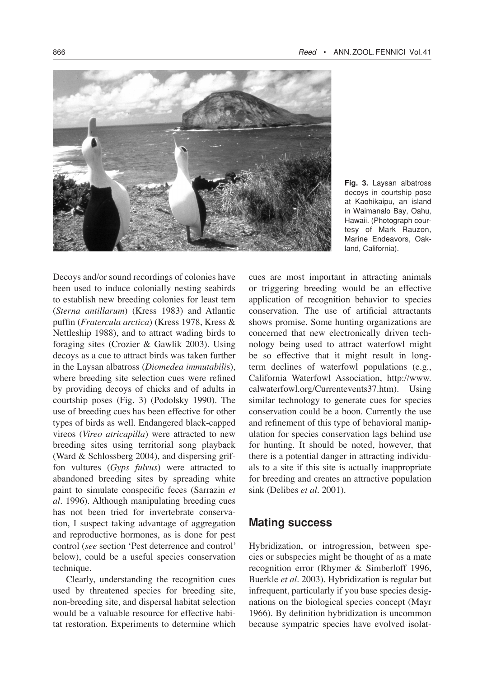

**Fig. 3.** Laysan albatross decoys in courtship pose at Kaohikaipu, an island in Waimanalo Bay, Oahu, Hawaii. (Photograph courtesy of Mark Rauzon, Marine Endeavors, Oakland, California).

Decoys and/or sound recordings of colonies have been used to induce colonially nesting seabirds to establish new breeding colonies for least tern (*Sterna antillarum*) (Kress 1983) and Atlantic puffin (*Fratercula arctica*) (Kress 1978, Kress & Nettleship 1988), and to attract wading birds to foraging sites (Crozier & Gawlik 2003). Using decoys as a cue to attract birds was taken further in the Laysan albatross (*Diomedea immutabili*s), where breeding site selection cues were refined by providing decoys of chicks and of adults in courtship poses (Fig. 3) (Podolsky 1990). The use of breeding cues has been effective for other types of birds as well. Endangered black-capped vireos (*Vireo atricapilla*) were attracted to new breeding sites using territorial song playback (Ward & Schlossberg 2004), and dispersing griffon vultures (*Gyps fulvus*) were attracted to abandoned breeding sites by spreading white paint to simulate conspecific feces (Sarrazin *et al*. 1996). Although manipulating breeding cues has not been tried for invertebrate conservation, I suspect taking advantage of aggregation and reproductive hormones, as is done for pest control (*see* section 'Pest deterrence and control' below), could be a useful species conservation technique.

Clearly, understanding the recognition cues used by threatened species for breeding site, non-breeding site, and dispersal habitat selection would be a valuable resource for effective habitat restoration. Experiments to determine which cues are most important in attracting animals or triggering breeding would be an effective application of recognition behavior to species conservation. The use of artificial attractants shows promise. Some hunting organizations are concerned that new electronically driven technology being used to attract waterfowl might be so effective that it might result in longterm declines of waterfowl populations (e.g., California Waterfowl Association, http://www. calwaterfowl.org/Currentevents37.htm). Using similar technology to generate cues for species conservation could be a boon. Currently the use and refinement of this type of behavioral manipulation for species conservation lags behind use for hunting. It should be noted, however, that there is a potential danger in attracting individuals to a site if this site is actually inappropriate for breeding and creates an attractive population sink (Delibes *et al*. 2001).

## **Mating success**

Hybridization, or introgression, between species or subspecies might be thought of as a mate recognition error (Rhymer & Simberloff 1996, Buerkle *et al*. 2003). Hybridization is regular but infrequent, particularly if you base species designations on the biological species concept (Mayr 1966). By definition hybridization is uncommon because sympatric species have evolved isolat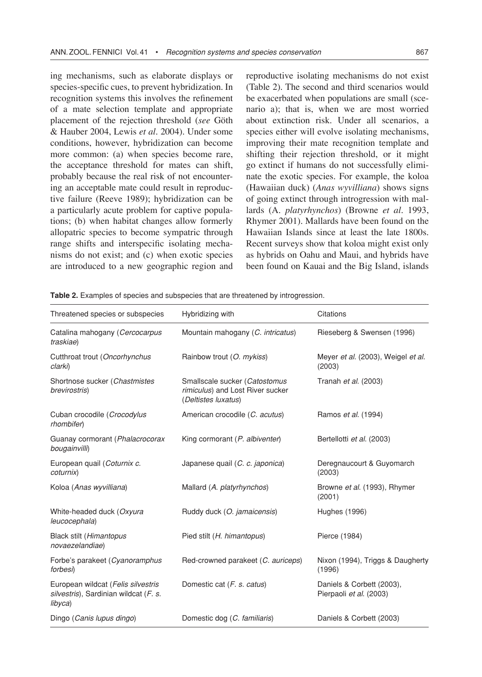ing mechanisms, such as elaborate displays or species-specific cues, to prevent hybridization. In recognition systems this involves the refinement of a mate selection template and appropriate placement of the rejection threshold (*see* Göth & Hauber 2004, Lewis *et al.* 2004). Under some conditions, however, hybridization can become more common: (a) when species become rare, the acceptance threshold for mates can shift, probably because the real risk of not encountering an acceptable mate could result in reproductive failure (Reeve 1989); hybridization can be a particularly acute problem for captive populations; (b) when habitat changes allow formerly allopatric species to become sympatric through range shifts and interspecific isolating mechanisms do not exist; and (c) when exotic species are introduced to a new geographic region and

reproductive isolating mechanisms do not exist (Table 2). The second and third scenarios would be exacerbated when populations are small (scenario a); that is, when we are most worried about extinction risk. Under all scenarios, a species either will evolve isolating mechanisms, improving their mate recognition template and shifting their rejection threshold, or it might go extinct if humans do not successfully eliminate the exotic species. For example, the koloa (Hawaiian duck) (*Anas wyvilliana*) shows signs of going extinct through introgression with mallards (A. *platyrhynchos*) (Browne *et al*. 1993, Rhymer 2001). Mallards have been found on the Hawaiian Islands since at least the late 1800s. Recent surveys show that koloa might exist only as hybrids on Oahu and Maui, and hybrids have been found on Kauai and the Big Island, islands

| Threatened species or subspecies                                                       | Hybridizing with                                                                         | Citations                                            |
|----------------------------------------------------------------------------------------|------------------------------------------------------------------------------------------|------------------------------------------------------|
| Catalina mahogany (Cercocarpus<br>traskiae)                                            | Mountain mahogany (C. intricatus)                                                        | Rieseberg & Swensen (1996)                           |
| Cutthroat trout (Oncorhynchus<br>clarki)                                               | Rainbow trout (O. mykiss)                                                                | Meyer et al. (2003), Weigel et al.<br>(2003)         |
| Shortnose sucker (Chastmistes<br>brevirostris)                                         | Smallscale sucker (Catostomus<br>rimiculus) and Lost River sucker<br>(Deltistes luxatus) | Tranah et al. (2003)                                 |
| Cuban crocodile (Crocodylus<br>rhombifer)                                              | American crocodile (C. acutus)                                                           | Ramos et al. (1994)                                  |
| Guanay cormorant (Phalacrocorax<br>bougainvilli)                                       | King cormorant (P. albiventer)                                                           | Bertellotti et al. (2003)                            |
| European quail (Coturnix c.<br>coturnix)                                               | Japanese quail (C. c. japonica)                                                          | Deregnaucourt & Guyomarch<br>(2003)                  |
| Koloa (Anas wyvilliana)                                                                | Mallard (A. platyrhynchos)                                                               | Browne et al. (1993), Rhymer<br>(2001)               |
| White-headed duck (Oxyura<br>leucocephala)                                             | Ruddy duck (O. jamaicensis)                                                              | Hughes (1996)                                        |
| Black stilt (Himantopus<br>novaezelandiae)                                             | Pied stilt (H. himantopus)                                                               | Pierce (1984)                                        |
| Forbe's parakeet (Cyanoramphus<br>forbesi)                                             | Red-crowned parakeet (C. auriceps)                                                       | Nixon (1994), Triggs & Daugherty<br>(1996)           |
| European wildcat (Felis silvestris<br>silvestris), Sardinian wildcat (F. s.<br>libyca) | Domestic cat ( <i>F. s. catus</i> )                                                      | Daniels & Corbett (2003),<br>Pierpaoli et al. (2003) |
| Dingo (Canis lupus dingo)                                                              | Domestic dog (C. familiaris)                                                             | Daniels & Corbett (2003)                             |

**Table 2.** Examples of species and subspecies that are threatened by introgression.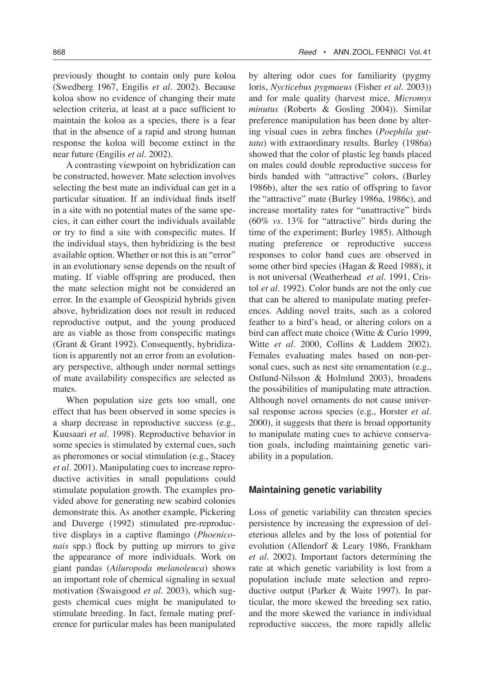previously thought to contain only pure koloa (Swedberg 1967, Engilis *et al*. 2002). Because koloa show no evidence of changing their mate selection criteria, at least at a pace sufficient to maintain the koloa as a species, there is a fear that in the absence of a rapid and strong human response the koloa will become extinct in the near future (Engilis *et al*. 2002).

A contrasting viewpoint on hybridization can be constructed, however. Mate selection involves selecting the best mate an individual can get in a particular situation. If an individual finds itself in a site with no potential mates of the same species, it can either court the individuals available or try to find a site with conspecific mates. If the individual stays, then hybridizing is the best available option. Whether or not this is an "error" in an evolutionary sense depends on the result of mating. If viable offspring are produced, then the mate selection might not be considered an error. In the example of Geospizid hybrids given above, hybridization does not result in reduced reproductive output, and the young produced are as viable as those from conspecific matings (Grant & Grant 1992). Consequently, hybridization is apparently not an error from an evolutionary perspective, although under normal settings of mate availability conspecifics are selected as mates.

When population size gets too small, one effect that has been observed in some species is a sharp decrease in reproductive success (e.g., Kuusaari *et al*. 1998). Reproductive behavior in some species is stimulated by external cues, such as pheromones or social stimulation (e.g., Stacey *et al*. 2001). Manipulating cues to increase reproductive activities in small populations could stimulate population growth. The examples provided above for generating new seabird colonies demonstrate this. As another example, Pickering and Duverge (1992) stimulated pre-reproductive displays in a captive flamingo (*Phoeniconais* spp.) flock by putting up mirrors to give the appearance of more individuals. Work on giant pandas (*Ailuropoda melanoleuca*) shows an important role of chemical signaling in sexual motivation (Swaisgood *et al*. 2003), which suggests chemical cues might be manipulated to stimulate breeding. In fact, female mating preference for particular males has been manipulated by altering odor cues for familiarity (pygmy loris, *Nycticebus pygmaeus* (Fisher *et al*. 2003)) and for male quality (harvest mice, *Micromys minutus* (Roberts & Gosling 2004)). Similar preference manipulation has been done by altering visual cues in zebra finches (*Poephila guttata*) with extraordinary results. Burley (1986a) showed that the color of plastic leg bands placed on males could double reproductive success for birds banded with "attractive" colors, (Burley 1986b), alter the sex ratio of offspring to favor the "attractive" mate (Burley 1986a, 1986c), and increase mortality rates for "unattractive" birds (60% *vs*. 13% for "attractive" birds during the time of the experiment; Burley 1985). Although mating preference or reproductive success responses to color band cues are observed in some other bird species (Hagan & Reed 1988), it is not universal (Weatherhead *et al*. 1991, Cristol *et al*. 1992). Color bands are not the only cue that can be altered to manipulate mating preferences. Adding novel traits, such as a colored feather to a bird's head, or altering colors on a bird can affect mate choice (Witte & Curio 1999, Witte *et al*. 2000, Collins & Luddem 2002). Females evaluating males based on non-personal cues, such as nest site ornamentation (e.g., Ostlund-Nilsson & Holmlund 2003), broadens the possibilities of manipulating mate attraction. Although novel ornaments do not cause universal response across species (e.g., Horster *et al*. 2000), it suggests that there is broad opportunity to manipulate mating cues to achieve conservation goals, including maintaining genetic variability in a population.

#### **Maintaining genetic variability**

Loss of genetic variability can threaten species persistence by increasing the expression of deleterious alleles and by the loss of potential for evolution (Allendorf & Leary 1986, Frankham *et al*. 2002). Important factors determining the rate at which genetic variability is lost from a population include mate selection and reproductive output (Parker & Waite 1997). In particular, the more skewed the breeding sex ratio, and the more skewed the variance in individual reproductive success, the more rapidly allelic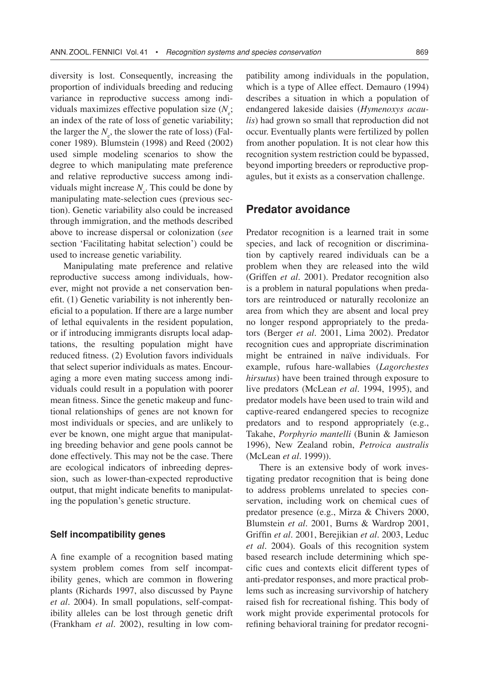diversity is lost. Consequently, increasing the proportion of individuals breeding and reducing variance in reproductive success among individuals maximizes effective population size  $(N_e;$ an index of the rate of loss of genetic variability; the larger the  $N_e$ , the slower the rate of loss) (Falconer 1989). Blumstein (1998) and Reed (2002) used simple modeling scenarios to show the degree to which manipulating mate preference and relative reproductive success among individuals might increase  $N_e$ . This could be done by manipulating mate-selection cues (previous section). Genetic variability also could be increased through immigration, and the methods described above to increase dispersal or colonization (*see* section 'Facilitating habitat selection') could be used to increase genetic variability.

Manipulating mate preference and relative reproductive success among individuals, however, might not provide a net conservation benefit. (1) Genetic variability is not inherently beneficial to a population. If there are a large number of lethal equivalents in the resident population, or if introducing immigrants disrupts local adaptations, the resulting population might have reduced fitness. (2) Evolution favors individuals that select superior individuals as mates. Encouraging a more even mating success among individuals could result in a population with poorer mean fitness. Since the genetic makeup and functional relationships of genes are not known for most individuals or species, and are unlikely to ever be known, one might argue that manipulating breeding behavior and gene pools cannot be done effectively. This may not be the case. There are ecological indicators of inbreeding depression, such as lower-than-expected reproductive output, that might indicate benefits to manipulating the population's genetic structure.

#### **Self incompatibility genes**

A fine example of a recognition based mating system problem comes from self incompatibility genes, which are common in flowering plants (Richards 1997, also discussed by Payne *et al*. 2004). In small populations, self-compatibility alleles can be lost through genetic drift (Frankham *et al*. 2002), resulting in low compatibility among individuals in the population, which is a type of Allee effect. Demauro (1994) describes a situation in which a population of endangered lakeside daisies (*Hymenoxys acaulis*) had grown so small that reproduction did not occur. Eventually plants were fertilized by pollen from another population. It is not clear how this recognition system restriction could be bypassed, beyond importing breeders or reproductive propagules, but it exists as a conservation challenge.

## **Predator avoidance**

Predator recognition is a learned trait in some species, and lack of recognition or discrimination by captively reared individuals can be a problem when they are released into the wild (Griffen *et al*. 2001). Predator recognition also is a problem in natural populations when predators are reintroduced or naturally recolonize an area from which they are absent and local prey no longer respond appropriately to the predators (Berger *et al*. 2001, Lima 2002). Predator recognition cues and appropriate discrimination might be entrained in naïve individuals. For example, rufous hare-wallabies (*Lagorchestes hirsutus*) have been trained through exposure to live predators (McLean *et al*. 1994, 1995), and predator models have been used to train wild and captive-reared endangered species to recognize predators and to respond appropriately (e.g., Takahe, *Porphyrio mantelli* (Bunin & Jamieson 1996), New Zealand robin, *Petroica australis* (McLean *et al*. 1999)).

There is an extensive body of work investigating predator recognition that is being done to address problems unrelated to species conservation, including work on chemical cues of predator presence (e.g., Mirza & Chivers 2000, Blumstein *et al*. 2001, Burns & Wardrop 2001, Griffin *et al*. 2001, Berejikian *et al*. 2003, Leduc *et al*. 2004). Goals of this recognition system based research include determining which specific cues and contexts elicit different types of anti-predator responses, and more practical problems such as increasing survivorship of hatchery raised fish for recreational fishing. This body of work might provide experimental protocols for refining behavioral training for predator recogni-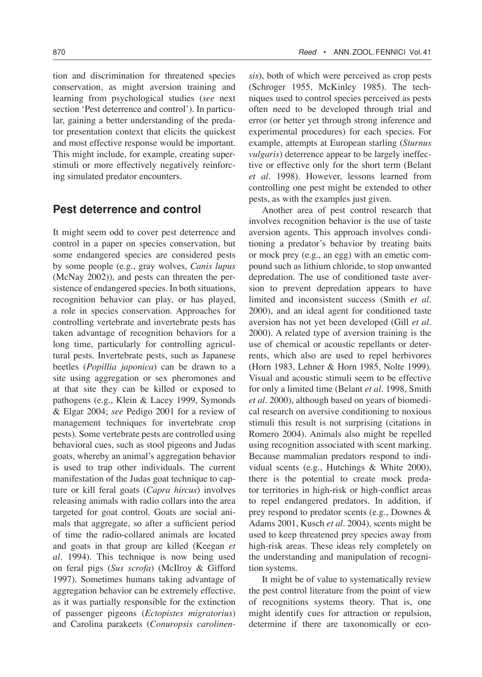tion and discrimination for threatened species conservation, as might aversion training and learning from psychological studies (*see* next section 'Pest deterrence and control'). In particular, gaining a better understanding of the predator presentation context that elicits the quickest and most effective response would be important. This might include, for example, creating superstimuli or more effectively negatively reinforcing simulated predator encounters.

# **Pest deterrence and control**

It might seem odd to cover pest deterrence and control in a paper on species conservation, but some endangered species are considered pests by some people (e.g., gray wolves, *Canis lupus* (McNay 2002)), and pests can threaten the persistence of endangered species. In both situations, recognition behavior can play, or has played, a role in species conservation. Approaches for controlling vertebrate and invertebrate pests has taken advantage of recognition behaviors for a long time, particularly for controlling agricultural pests. Invertebrate pests, such as Japanese beetles (*Popillia japonica*) can be drawn to a site using aggregation or sex pheromones and at that site they can be killed or exposed to pathogens (e.g., Klein & Lacey 1999, Symonds & Elgar 2004; *see* Pedigo 2001 for a review of management techniques for invertebrate crop pests). Some vertebrate pests are controlled using behavioral cues, such as stool pigeons and Judas goats, whereby an animal's aggregation behavior is used to trap other individuals. The current manifestation of the Judas goat technique to capture or kill feral goats (*Capra hircus*) involves releasing animals with radio collars into the area targeted for goat control. Goats are social animals that aggregate, so after a sufficient period of time the radio-collared animals are located and goats in that group are killed (Keegan *et al*. 1994). This technique is now being used on feral pigs (*Sus scrofa*) (McIlroy & Gifford 1997). Sometimes humans taking advantage of aggregation behavior can be extremely effective, as it was partially responsible for the extinction of passenger pigeons (*Ectopistes migratorius*) and Carolina parakeets (*Conuropsis carolinen-* *sis*), both of which were perceived as crop pests (Schroger 1955, McKinley 1985). The techniques used to control species perceived as pests often need to be developed through trial and error (or better yet through strong inference and experimental procedures) for each species. For example, attempts at European starling (*Sturnus vulgaris*) deterrence appear to be largely ineffective or effective only for the short term (Belant *et al*. 1998). However, lessons learned from controlling one pest might be extended to other pests, as with the examples just given.

Another area of pest control research that involves recognition behavior is the use of taste aversion agents. This approach involves conditioning a predator's behavior by treating baits or mock prey (e.g., an egg) with an emetic compound such as lithium chloride, to stop unwanted depredation. The use of conditioned taste aversion to prevent depredation appears to have limited and inconsistent success (Smith *et al*. 2000), and an ideal agent for conditioned taste aversion has not yet been developed (Gill *et al*. 2000). A related type of aversion training is the use of chemical or acoustic repellants or deterrents, which also are used to repel herbivores (Horn 1983, Lehner & Horn 1985, Nolte 1999). Visual and acoustic stimuli seem to be effective for only a limited time (Belant *et al*. 1998, Smith *et al*. 2000), although based on years of biomedical research on aversive conditioning to noxious stimuli this result is not surprising (citations in Romero 2004). Animals also might be repelled using recognition associated with scent marking. Because mammalian predators respond to individual scents (e.g., Hutchings & White 2000), there is the potential to create mock predator territories in high-risk or high-conflict areas to repel endangered predators. In addition, if prey respond to predator scents (e.g., Downes & Adams 2001, Kusch *et al*. 2004), scents might be used to keep threatened prey species away from high-risk areas. These ideas rely completely on the understanding and manipulation of recognition systems.

It might be of value to systematically review the pest control literature from the point of view of recognitions systems theory. That is, one might identify cues for attraction or repulsion, determine if there are taxonomically or eco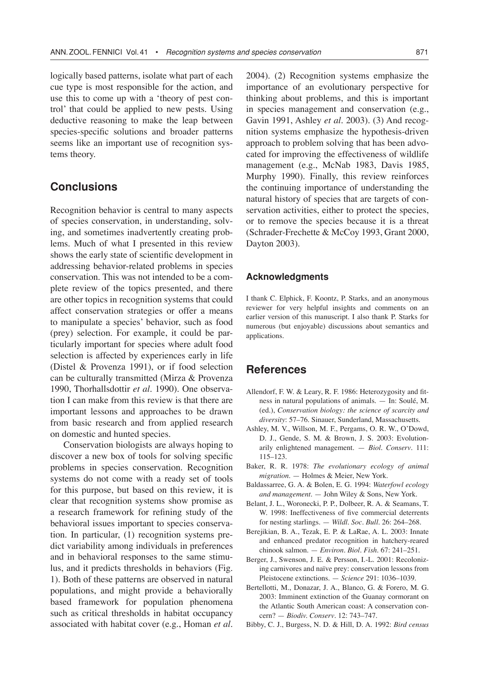logically based patterns, isolate what part of each cue type is most responsible for the action, and use this to come up with a 'theory of pest control' that could be applied to new pests. Using deductive reasoning to make the leap between species-specific solutions and broader patterns seems like an important use of recognition systems theory.

# **Conclusions**

Recognition behavior is central to many aspects of species conservation, in understanding, solving, and sometimes inadvertently creating problems. Much of what I presented in this review shows the early state of scientific development in addressing behavior-related problems in species conservation. This was not intended to be a complete review of the topics presented, and there are other topics in recognition systems that could affect conservation strategies or offer a means to manipulate a species' behavior, such as food (prey) selection. For example, it could be particularly important for species where adult food selection is affected by experiences early in life (Distel & Provenza 1991), or if food selection can be culturally transmitted (Mirza & Provenza 1990, Thorhallsdottir *et al*. 1990). One observation I can make from this review is that there are important lessons and approaches to be drawn from basic research and from applied research on domestic and hunted species.

Conservation biologists are always hoping to discover a new box of tools for solving specific problems in species conservation. Recognition systems do not come with a ready set of tools for this purpose, but based on this review, it is clear that recognition systems show promise as a research framework for refining study of the behavioral issues important to species conservation. In particular, (1) recognition systems predict variability among individuals in preferences and in behavioral responses to the same stimulus, and it predicts thresholds in behaviors (Fig. 1). Both of these patterns are observed in natural populations, and might provide a behaviorally based framework for population phenomena such as critical thresholds in habitat occupancy associated with habitat cover (e.g., Homan *et al.*

2004). (2) Recognition systems emphasize the importance of an evolutionary perspective for thinking about problems, and this is important in species management and conservation (e.g., Gavin 1991, Ashley *et al*. 2003). (3) And recognition systems emphasize the hypothesis-driven approach to problem solving that has been advocated for improving the effectiveness of wildlife management (e.g., McNab 1983, Davis 1985, Murphy 1990). Finally, this review reinforces the continuing importance of understanding the natural history of species that are targets of conservation activities, either to protect the species, or to remove the species because it is a threat (Schrader-Frechette & McCoy 1993, Grant 2000, Dayton 2003).

#### **Acknowledgments**

I thank C. Elphick, F. Koontz, P. Starks, and an anonymous reviewer for very helpful insights and comments on an earlier version of this manuscript. I also thank P. Starks for numerous (but enjoyable) discussions about semantics and applications.

## **References**

- Allendorf, F. W. & Leary, R. F. 1986: Heterozygosity and fitness in natural populations of animals. — In: Soulé, M. (ed.), *Conservation biology: the science of scarcity and diversity*: 57–76. Sinauer, Sunderland, Massachusetts.
- Ashley, M. V., Willson, M. F., Pergams, O. R. W., O'Dowd, D. J., Gende, S. M. & Brown, J. S. 2003: Evolutionarily enlightened management. — *Biol. Conserv*. 111: 115–123.
- Baker, R. R. 1978: *The evolutionary ecology of animal migration*. — Holmes & Meier, New York.
- Baldassarree, G. A. & Bolen, E. G. 1994: *Waterfowl ecology and management*. — John Wiley & Sons, New York.
- Belant, J. L., Woronecki, P. P., Dolbeer, R. A. & Seamans, T. W. 1998: Ineffectiveness of five commercial deterrents for nesting starlings. — *Wildl. Soc. Bull*. 26: 264–268.
- Berejikian, B. A., Tezak, E. P. & LaRae, A. L. 2003: Innate and enhanced predator recognition in hatchery-reared chinook salmon. — *Environ. Biol. Fish*. 67: 241–251.
- Berger, J., Swenson, J. E. & Persson, I.-L. 2001: Recolonizing carnivores and naïve prey: conservation lessons from Pleistocene extinctions. — *Science* 291: 1036–1039.
- Bertellotti, M., Donazar, J. A., Blanco, G. & Forero, M. G. 2003: Imminent extinction of the Guanay cormorant on the Atlantic South American coast: A conservation concern? — *Biodiv. Conserv*. 12: 743–747.
- Bibby, C. J., Burgess, N. D. & Hill, D. A. 1992: *Bird census*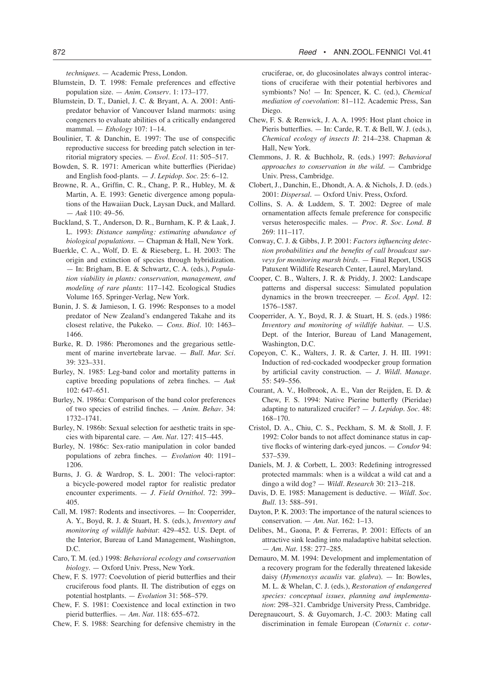*techniques*. — Academic Press, London.

- Blumstein, D. T. 1998: Female preferences and effective population size. — *Anim. Conserv*. 1: 173–177.
- Blumstein, D. T., Daniel, J. C. & Bryant, A. A. 2001: Antipredator behavior of Vancouver Island marmots: using congeners to evaluate abilities of a critically endangered mammal. — *Ethology* 107: 1–14.
- Boulinier, T. & Danchin, E. 1997: The use of conspecific reproductive success for breeding patch selection in territorial migratory species. — *Evol. Ecol*. 11: 505–517.
- Bowden, S. R. 1971: American white butterflies (Pieridae) and English food-plants. — *J. Lepidop. Soc.* 25: 6–12.
- Browne, R. A., Griffin, C. R., Chang, P. R., Hubley, M. & Martin, A. E. 1993: Genetic divergence among populations of the Hawaiian Duck, Laysan Duck, and Mallard. — *Auk* 110: 49–56.
- Buckland, S. T., Anderson, D. R., Burnham, K. P. & Laak, J. L. 1993: *Distance sampling: estimating abundance of biological populations.* — Chapman & Hall, New York.
- Buerkle, C. A., Wolf, D. E. & Rieseberg, L. H. 2003: The origin and extinction of species through hybridization. — In: Brigham, B. E. & Schwartz, C. A. (eds.), *Population viability in plants: conservation, management, and modeling of rare plants*: 117–142. Ecological Studies Volume 165. Springer-Verlag, New York.
- Bunin, J. S. & Jamieson, I. G. 1996: Responses to a model predator of New Zealand's endangered Takahe and its closest relative, the Pukeko. — *Cons. Biol.* 10: 1463– 1466.
- Burke, R. D. 1986: Pheromones and the gregarious settlement of marine invertebrate larvae. — *Bull. Mar. Sci.* 39: 323–331.
- Burley, N. 1985: Leg-band color and mortality patterns in captive breeding populations of zebra finches. — *Auk* 102: 647–651.
- Burley, N. 1986a: Comparison of the band color preferences of two species of estrilid finches. — *Anim. Behav*. 34: 1732–1741.
- Burley, N. 1986b: Sexual selection for aesthetic traits in species with biparental care. — *Am. Nat.* 127: 415–445.
- Burley, N. 1986c: Sex-ratio manipulation in color banded populations of zebra finches. — *Evolution* 40: 1191– 1206.
- Burns, J. G. & Wardrop, S. L. 2001: The veloci-raptor: a bicycle-powered model raptor for realistic predator encounter experiments. — *J. Field Ornithol*. 72: 399– 405.
- Call, M. 1987: Rodents and insectivores. In: Cooperrider, A. Y., Boyd, R. J. & Stuart, H. S. (eds.), *Inventory and monitoring of wildlife habitat*: 429–452. U.S. Dept. of the Interior, Bureau of Land Management, Washington, D.C.
- Caro, T. M. (ed.) 1998: *Behavioral ecology and conservation biology*. — Oxford Univ. Press, New York.
- Chew, F. S. 1977: Coevolution of pierid butterflies and their cruciferous food plants. II. The distribution of eggs on potential hostplants. — *Evolution* 31: 568–579.
- Chew, F. S. 1981: Coexistence and local extinction in two pierid butterflies. — *Am. Nat.* 118: 655–672.
- Chew, F. S. 1988: Searching for defensive chemistry in the

cruciferae, or, do glucosinolates always control interactions of cruciferae with their potential herbivores and symbionts? No! — In: Spencer, K. C. (ed.), *Chemical mediation of coevolution*: 81–112. Academic Press, San Diego.

- Chew, F. S. & Renwick, J. A. A. 1995: Host plant choice in Pieris butterflies. — In: Carde, R. T. & Bell, W. J. (eds.), *Chemical ecology of insects II*: 214–238. Chapman & Hall, New York.
- Clemmons, J. R. & Buchholz, R. (eds.) 1997: *Behavioral approaches to conservation in the wild*. — Cambridge Univ. Press, Cambridge.
- Clobert, J., Danchin, E., Dhondt, A. A. & Nichols, J. D. (eds.) 2001: *Dispersal*. — Oxford Univ. Press, Oxford.
- Collins, S. A. & Luddem, S. T. 2002: Degree of male ornamentation affects female preference for conspecific versus heterospecific males. — *Proc. R. Soc. Lond. B*  269: 111–117.
- Conway, C. J. & Gibbs, J. P. 2001: *Factors influencing detection probabilities and the benefits of call broadcast surveys for monitoring marsh birds*. — Final Report, USGS Patuxent Wildlife Research Center, Laurel, Maryland.
- Cooper, C. B., Walters, J. R. & Priddy, J. 2002: Landscape patterns and dispersal success: Simulated population dynamics in the brown treecreeper. — *Ecol. Appl*. 12: 1576–1587.
- Cooperrider, A. Y., Boyd, R. J. & Stuart, H. S. (eds.) 1986: *Inventory and monitoring of wildlife habitat*. — U.S. Dept. of the Interior, Bureau of Land Management, Washington, D.C.
- Copeyon, C. K., Walters, J. R. & Carter, J. H. III. 1991: Induction of red-cockaded woodpecker group formation by artificial cavity construction. — *J. Wildl. Manage*. 55: 549–556.
- Courant, A. V., Holbrook, A. E., Van der Reijden, E. D. & Chew, F. S. 1994: Native Pierine butterfly (Pieridae) adapting to naturalized crucifer? — *J. Lepidop. Soc*. 48: 168–170.
- Cristol, D. A., Chiu, C. S., Peckham, S. M. & Stoll, J. F. 1992: Color bands to not affect dominance status in captive flocks of wintering dark-eyed juncos. — *Condor* 94: 537–539.
- Daniels, M. J. & Corbett, L. 2003: Redefining introgressed protected mammals: when is a wildcat a wild cat and a dingo a wild dog? — *Wildl. Research* 30: 213–218.
- Davis, D. E. 1985: Management is deductive. *Wildl. Soc. Bull*. 13: 588–591.
- Dayton, P. K. 2003: The importance of the natural sciences to conservation. — *Am. Nat.* 162: 1–13.
- Delibes, M., Gaona, P. & Ferreras, P. 2001: Effects of an attractive sink leading into maladaptive habitat selection. — *Am. Nat*. 158: 277–285.
- Demauro, M. M. 1994: Development and implementation of a recovery program for the federally threatened lakeside daisy (*Hymenoxys acaulis* var. *glabra*). — In: Bowles, M. L. & Whelan, C. J. (eds.), *Restoration of endangered species: conceptual issues, planning and implementation*: 298–321. Cambridge University Press, Cambridge.
- Deregnaucourt, S. & Guyomarch, J.-C. 2003: Mating call discrimination in female European (*Coturnix c. cotur-*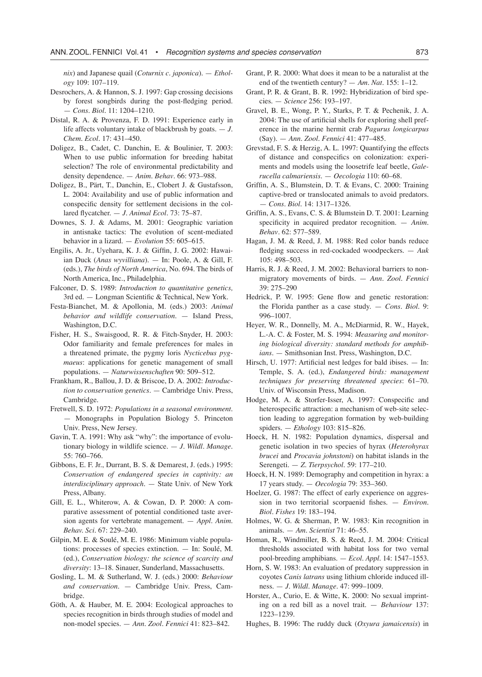*nix*) and Japanese quail (*Coturnix c. japonica*). — *Ethology* 109: 107–119.

- Desrochers, A. & Hannon, S. J. 1997: Gap crossing decisions by forest songbirds during the post-fledging period. — *Cons. Biol*. 11: 1204–1210.
- Distal, R. A. & Provenza, F. D. 1991: Experience early in life affects voluntary intake of blackbrush by goats. — *J. Chem. Ecol*. 17: 431–450.
- Doligez, B., Cadet, C. Danchin, E. & Boulinier, T. 2003: When to use public information for breeding habitat selection? The role of environmental predictability and density dependence. — *Anim. Behav*. 66: 973–988.
- Doligez, B., Pärt, T., Danchin, E., Clobert J. & Gustafsson, L. 2004: Availability and use of public information and conspecific density for settlement decisions in the collared flycatcher. — *J. Animal Ecol.* 73: 75–87.
- Downes, S. J. & Adams, M. 2001: Geographic variation in antisnake tactics: The evolution of scent-mediated behavior in a lizard. — *Evolution* 55: 605–615.
- Engilis, A. Jr., Uyehara, K. J. & Giffin, J. G. 2002: Hawaiian Duck (*Anas wyvilliana*). — In: Poole, A. & Gill, F. (eds.), *The birds of North America*, No. 694. The birds of North America, Inc., Philadelphia.
- Falconer, D. S. 1989: *Introduction to quantitative genetics,*  3rd ed. — Longman Scientific & Technical, New York.
- Festa-Bianchet, M. & Apollonia, M. (eds.) 2003: *Animal behavior and wildlife conservation*. — Island Press, Washington, D.C.
- Fisher, H. S., Swaisgood, R. R. & Fitch-Snyder, H. 2003: Odor familiarity and female preferences for males in a threatened primate, the pygmy loris *Nycticebus pygmaeus*: applications for genetic management of small populations. — *Naturwissenschaften* 90: 509–512.
- Frankham, R., Ballou, J. D. & Briscoe, D. A. 2002: *Introduction to conservation genetics*. — Cambridge Univ. Press, Cambridge.
- Fretwell, S. D. 1972: *Populations in a seasonal environment*. — Monographs in Population Biology 5. Princeton Univ. Press, New Jersey.
- Gavin, T. A. 1991: Why ask "why": the importance of evolutionary biology in wildlife science. — *J. Wildl. Manage*. 55: 760–766.
- Gibbons, E. F. Jr., Durrant, B. S. & Demarest, J. (eds.) 1995: *Conservation of endangered species in captivity: an interdisciplinary approach.* — State Univ. of New York Press, Albany.
- Gill, E. L., Whiterow, A. & Cowan, D. P. 2000: A comparative assessment of potential conditioned taste aversion agents for vertebrate management. — *Appl. Anim. Behav. Sci.* 67: 229–240.
- Gilpin, M. E. & Soulé, M. E. 1986: Minimum viable populations: processes of species extinction. — In: Soulé, M. (ed.), *Conservation biology: the science of scarcity and diversity*: 13–18. Sinauer, Sunderland, Massachusetts.
- Gosling, L. M. & Sutherland, W. J. (eds.) 2000: *Behaviour and conservation*. — Cambridge Univ. Press, Cambridge.
- Göth, A. & Hauber, M. E. 2004: Ecological approaches to species recognition in birds through studies of model and non-model species. — *Ann. Zool. Fennici* 41: 823–842.
- Grant, P. R. 2000: What does it mean to be a naturalist at the end of the twentieth century? — *Am. Nat.* 155: 1–12.
- Grant, P. R. & Grant, B. R. 1992: Hybridization of bird species. — *Science* 256: 193–197.
- Gravel, B. E., Wong, P. Y., Starks, P. T. & Pechenik, J. A. 2004: The use of artificial shells for exploring shell preference in the marine hermit crab *Pagurus longicarpus* (Say). — *Ann. Zool. Fennici* 41: 477–485.
- Grevstad, F. S. & Herzig, A. L. 1997: Quantifying the effects of distance and conspecifics on colonization: experiments and models using the loosetrife leaf beetle, *Galerucella calmariensis*. — *Oecologia* 110: 60–68.
- Griffin, A. S., Blumstein, D. T. & Evans, C. 2000: Training captive-bred or translocated animals to avoid predators. — *Cons. Biol*. 14: 1317–1326.
- Griffin, A. S., Evans, C. S. & Blumstein D. T. 2001: Learning specificity in acquired predator recognition. — *Anim. Behav*. 62: 577–589.
- Hagan, J. M. & Reed, J. M. 1988: Red color bands reduce fledging success in red-cockaded woodpeckers. — *Auk* 105: 498–503.
- Harris, R. J. & Reed, J. M. 2002: Behavioral barriers to nonmigratory movements of birds. — *Ann. Zool. Fennici* 39: 275–290
- Hedrick, P. W. 1995: Gene flow and genetic restoration: the Florida panther as a case study. — *Cons. Biol*. 9: 996–1007.
- Heyer, W. R., Donnelly, M. A., McDiarmid, R. W., Hayek, L.-A. C. & Foster, M. S. 1994: *Measuring and monitoring biological diversity: standard methods for amphibians*. — Smithsonian Inst. Press, Washington, D.C.
- Hirsch, U. 1977: Artificial nest ledges for bald ibises. In: Temple, S. A. (ed.), *Endangered birds: management techniques for preserving threatened species*: 61–70. Univ. of Wisconsin Press, Madison.
- Hodge, M. A. & Storfer-Isser, A. 1997: Conspecific and heterospecific attraction: a mechanism of web-site selection leading to aggregation formation by web-building spiders. — *Ethology* 103: 815–826.
- Hoeck, H. N. 1982: Population dynamics, dispersal and genetic isolation in two species of hyrax (*Heterohyrax brucei* and *Procavia johnstoni*) on habitat islands in the Serengeti. — *Z. Tierpsychol*. 59: 177–210.
- Hoeck, H. N. 1989: Demography and competition in hyrax: a 17 years study. — *Oecologia* 79: 353–360.
- Hoelzer, G. 1987: The effect of early experience on aggression in two territorial scorpaenid fishes. — *Environ. Biol. Fishes* 19: 183–194.
- Holmes, W. G. & Sherman, P. W. 1983: Kin recognition in animals. — *Am. Scientist* 71: 46–55.
- Homan, R., Windmiller, B. S. & Reed, J. M. 2004: Critical thresholds associated with habitat loss for two vernal pool-breeding amphibians. — *Ecol. Appl*. 14: 1547–1553.
- Horn, S. W. 1983: An evaluation of predatory suppression in coyotes *Canis latrans* using lithium chloride induced illness. — *J. Wildl. Manage*. 47: 999–1009.
- Horster, A., Curio, E. & Witte, K. 2000: No sexual imprinting on a red bill as a novel trait. — *Behaviour* 137: 1223–1239.
- Hughes, B. 1996: The ruddy duck (*Oxyura jamaicensis*) in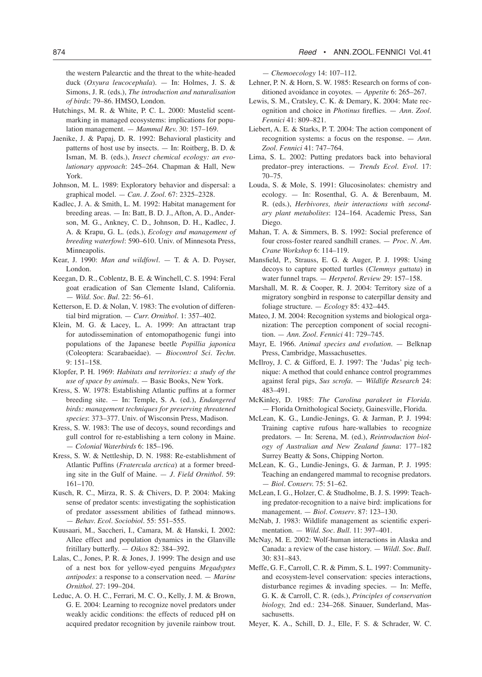the western Palearctic and the threat to the white-headed duck (*Oxyura leucocephala*). — In: Holmes, J. S. & Simons, J. R. (eds.), *The introduction and naturalisation of birds*: 79–86. HMSO, London.

- Hutchings, M. R. & White, P. C. L. 2000: Mustelid scentmarking in managed ecosystems: implications for population management. — *Mammal Rev.* 30: 157–169.
- Jaenike, J. & Papaj, D. R. 1992: Behavioral plasticity and patterns of host use by insects. — In: Roitberg, B. D. & Isman, M. B. (eds.), *Insect chemical ecology: an evolutionary approach*: 245–264. Chapman & Hall, New York.
- Johnson, M. L. 1989: Exploratory behavior and dispersal: a graphical model. — *Can. J. Zool*. 67: 2325–2328.
- Kadlec, J. A. & Smith, L. M. 1992: Habitat management for breeding areas. — In: Batt, B. D. J., Afton, A. D., Anderson, M. G., Ankney, C. D., Johnson, D. H., Kadlec, J. A. & Krapu, G. L. (eds.), *Ecology and management of breeding waterfowl*: 590–610. Univ. of Minnesota Press, Minneapolis.
- Kear, J. 1990: *Man and wildfowl*. T. & A. D. Poyser, London.
- Keegan, D. R., Coblentz, B. E. & Winchell, C. S. 1994: Feral goat eradication of San Clemente Island, California. — *Wild. Soc. Bul.* 22: 56–61.
- Ketterson, E. D. & Nolan, V. 1983: The evolution of differential bird migration. — *Curr. Ornithol*. 1: 357–402.
- Klein, M. G. & Lacey, L. A. 1999: An attractant trap for autodissemination of entomopathogenic fungi into populations of the Japanese beetle *Popillia japonica* (Coleoptera: Scarabaeidae). — *Biocontrol Sci. Techn.* 9: 151–158.
- Klopfer, P. H. 1969: *Habitats and territories: a study of the use of space by animals*. — Basic Books, New York.
- Kress, S. W. 1978: Establishing Atlantic puffins at a former breeding site. — In: Temple, S. A. (ed.), *Endangered birds: management techniques for preserving threatened species*: 373–377. Univ. of Wisconsin Press, Madison.
- Kress, S. W. 1983: The use of decoys, sound recordings and gull control for re-establishing a tern colony in Maine. — *Colonial Waterbirds* 6: 185–196.
- Kress, S. W. & Nettleship, D. N. 1988: Re-establishment of Atlantic Puffins (*Fratercula arctica*) at a former breeding site in the Gulf of Maine. — *J. Field Ornithol*. 59: 161–170.
- Kusch, R. C., Mirza, R. S. & Chivers, D. P. 2004: Making sense of predator scents: investigating the sophistication of predator assessment abilities of fathead minnows. — *Behav. Ecol. Sociobiol.* 55: 551–555.
- Kuusaari, M., Saccheri, I., Camara, M. & Hanski, I. 2002: Allee effect and population dynamics in the Glanville fritillary butterfly. — *Oikos* 82: 384–392.
- Lalas, C., Jones, P. R. & Jones, J. 1999: The design and use of a nest box for yellow-eyed penguins *Megadyptes antipodes*: a response to a conservation need. — *Marine Ornithol*. 27: 199–204.
- Leduc, A. O. H. C., Ferrari, M. C. O., Kelly, J. M. & Brown, G. E. 2004: Learning to recognize novel predators under weakly acidic conditions: the effects of reduced pH on acquired predator recognition by juvenile rainbow trout.

— *Chemoecology* 14: 107–112.

- Lehner, P. N. & Horn, S. W. 1985: Research on forms of conditioned avoidance in coyotes. — *Appetite* 6: 265–267.
- Lewis, S. M., Cratsley, C. K. & Demary, K. 2004: Mate recognition and choice in *Photinus* fireflies. — *Ann. Zool. Fennici* 41: 809–821.
- Liebert, A. E. & Starks, P. T. 2004: The action component of recognition systems: a focus on the response. — *Ann. Zool. Fennici* 41: 747–764.
- Lima, S. L. 2002: Putting predators back into behavioral predator–prey interactions. — *Trends Ecol. Evol.* 17: 70–75.
- Louda, S. & Mole, S. 1991: Glucosinolates: chemistry and ecology. — In: Rosenthal, G. A. & Berenbaum, M. R. (eds.), *Herbivores, their interactions with secondary plant metabolites*: 124–164. Academic Press, San Diego.
- Mahan, T. A. & Simmers, B. S. 1992: Social preference of four cross-foster reared sandhill cranes. — *Proc. N. Am. Crane Workshop* 6: 114–119.
- Mansfield, P., Strauss, E. G. & Auger, P. J. 1998: Using decoys to capture spotted turtles (*Clemmys guttata*) in water funnel traps. — *Herpetol. Review* 29: 157–158.
- Marshall, M. R. & Cooper, R. J. 2004: Territory size of a migratory songbird in response to caterpillar density and foliage structure. — *Ecology* 85: 432–445.
- Mateo, J. M. 2004: Recognition systems and biological organization: The perception component of social recognition. — *Ann. Zool. Fennici* 41: 729–745.
- Mayr, E. 1966. *Animal species and evolution*. Belknap Press, Cambridge, Massachusettes.
- McIlroy, J. C. & Gifford, E. J. 1997: The 'Judas' pig technique: A method that could enhance control programmes against feral pigs, *Sus scrofa*. — *Wildlife Research* 24: 483–491.
- McKinley, D. 1985: *The Carolina parakeet in Florida*. — Florida Ornithological Society, Gainesville, Florida.
- McLean, K. G., Lundie-Jenings, G. & Jarman, P. J. 1994: Training captive rufous hare-wallabies to recognize predators. — In: Serena, M. (ed.), *Reintroduction biology of Australian and New Zealand fauna*: 177–182 Surrey Beatty & Sons, Chipping Norton.
- McLean, K. G., Lundie-Jenings, G. & Jarman, P. J. 1995: Teaching an endangered mammal to recognise predators. — *Biol. Conserv.* 75: 51–62.
- McLean, I. G., Holzer, C. & Studholme, B. J. S. 1999: Teaching predator-recognition to a naive bird: implications for management. — *Biol. Conserv*. 87: 123–130.
- McNab, J. 1983: Wildlife management as scientific experimentation. — *Wild. Soc. Bull*. 11: 397–401.
- McNay, M. E. 2002: Wolf-human interactions in Alaska and Canada: a review of the case history. — *Wildl. Soc. Bull*. 30: 831–843.
- Meffe, G. F., Carroll, C. R. & Pimm, S. L. 1997: Communityand ecosystem-level conservation: species interactions, disturbance regimes & invading species. — In: Meffe, G. K. & Carroll, C. R. (eds.), *Principles of conservation biology,* 2nd ed.: 234–268. Sinauer, Sunderland, Massachusetts.
- Meyer, K. A., Schill, D. J., Elle, F. S. & Schrader, W. C.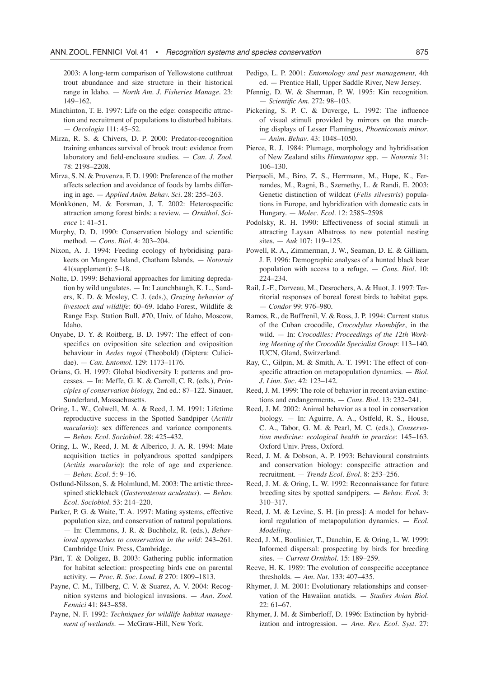2003: A long-term comparison of Yellowstone cutthroat trout abundance and size structure in their historical range in Idaho. — *North Am. J. Fisheries Manage*. 23: 149–162.

- Minchinton, T. E. 1997: Life on the edge: conspecific attraction and recruitment of populations to disturbed habitats. — *Oecologia* 111: 45–52.
- Mirza, R. S. & Chivers, D. P. 2000: Predator-recognition training enhances survival of brook trout: evidence from laboratory and field-enclosure studies. — *Can. J. Zool*. 78: 2198–2208.
- Mirza, S. N. & Provenza, F. D. 1990: Preference of the mother affects selection and avoidance of foods by lambs differing in age. — *Applied Anim. Behav. Sci*. 28: 255–263.
- Mönkkönen, M. & Forsman, J. T. 2002: Heterospecific attraction among forest birds: a review. — *Ornithol. Science* 1: 41–51.
- Murphy, D. D. 1990: Conservation biology and scientific method. — *Cons. Biol*. 4: 203–204.
- Nixon, A. J. 1994: Feeding ecology of hybridising parakeets on Mangere Island, Chatham Islands. — *Notornis* 41(supplement): 5–18.
- Nolte, D. 1999: Behavioral approaches for limiting depredation by wild ungulates. — In: Launchbaugh, K. L., Sanders, K. D. & Mosley, C. J. (eds.), *Grazing behavior of livestock and wildlife*: 60–69. Idaho Forest, Wildlife & Range Exp. Station Bull. #70, Univ. of Idaho, Moscow, Idaho.
- Onyabe, D. Y. & Roitberg, B. D. 1997: The effect of conspecifics on oviposition site selection and oviposition behaviour in *Aedes togoi* (Theobold) (Diptera: Culicidae). — *Can. Entomol.* 129: 1173–1176.
- Orians, G. H. 1997: Global biodiversity I: patterns and processes. — In: Meffe, G. K. & Carroll, C. R. (eds.), *Principles of conservation biology,* 2nd ed.: 87–122. Sinauer, Sunderland, Massachusetts.
- Oring, L. W., Colwell, M. A. & Reed, J. M. 1991: Lifetime reproductive success in the Spotted Sandpiper (*Actitis macularia*): sex differences and variance components. — *Behav. Ecol. Sociobiol*. 28: 425–432.
- Oring, L. W., Reed, J. M. & Alberico, J. A. R. 1994: Mate acquisition tactics in polyandrous spotted sandpipers (*Actitis macularia*): the role of age and experience. — *Behav. Ecol.* 5: 9–16.
- Ostlund-Nilsson, S. & Holmlund, M. 2003: The artistic threespined stickleback (*Gasterosteous aculeatus*). — *Behav. Ecol. Sociobiol*. 53: 214–220.
- Parker, P. G. & Waite, T. A. 1997: Mating systems, effective population size, and conservation of natural populations. — In: Clemmons, J. R. & Buchholz, R. (eds.), *Behavioral approaches to conservation in the wild*: 243–261. Cambridge Univ. Press, Cambridge.
- Pärt, T. & Doligez, B. 2003: Gathering public information for habitat selection: prospecting birds cue on parental activity. — *Proc. R. Soc. Lond. B* 270: 1809–1813.
- Payne, C. M., Tillberg, C. V. & Suarez, A. V. 2004: Recognition systems and biological invasions. — *Ann. Zool. Fennici* 41: 843–858.
- Payne, N. F. 1992: *Techniques for wildlife habitat management of wetlands*. — McGraw-Hill, New York.
- Pedigo, L. P. 2001: *Entomology and pest management,* 4th ed. — Prentice Hall, Upper Saddle River, New Jersey.
- Pfennig, D. W. & Sherman, P. W. 1995: Kin recognition. — *Scientific Am*. 272: 98–103.
- Pickering, S. P. C. & Duverge, L. 1992: The influence of visual stimuli provided by mirrors on the marching displays of Lesser Flamingos, *Phoeniconais minor*. — *Anim. Behav*. 43: 1048–1050.
- Pierce, R. J. 1984: Plumage, morphology and hybridisation of New Zealand stilts *Himantopus* spp. — *Notornis* 31: 106–130.
- Pierpaoli, M., Biro, Z. S., Herrmann, M., Hupe, K., Fernandes, M., Ragni, B., Szemethy, L. & Randi, E. 2003: Genetic distinction of wildcat (*Felis silvestris*) populations in Europe, and hybridization with domestic cats in Hungary. — *Molec. Ecol*. 12: 2585–2598
- Podolsky, R. H. 1990: Effectiveness of social stimuli in attracting Laysan Albatross to new potential nesting sites. — *Auk* 107: 119–125.
- Powell, R. A., Zimmerman, J. W., Seaman, D. E. & Gilliam, J. F. 1996: Demographic analyses of a hunted black bear population with access to a refuge. — *Cons. Biol*. 10: 224–234.
- Rail, J.-F., Darveau, M., Desrochers, A. & Huot, J. 1997: Territorial responses of boreal forest birds to habitat gaps. — *Condor* 99: 976–980.
- Ramos, R., de Buffrenil, V. & Ross, J. P. 1994: Current status of the Cuban crocodile, *Crocodylus rhombifer*, in the wild. — In: *Crocodiles: Proceedings of the 12th Working Meeting of the Crocodile Specialist Group*: 113–140. IUCN, Gland, Switzerland.
- Ray, C., Gilpin, M. & Smith, A. T. 1991: The effect of conspecific attraction on metapopulation dynamics. — *Biol. J. Linn. Soc*. 42: 123–142.
- Reed, J. M. 1999: The role of behavior in recent avian extinctions and endangerments. — *Cons. Biol*. 13: 232–241.
- Reed, J. M. 2002: Animal behavior as a tool in conservation biology. — In: Aguirre, A. A., Ostfeld, R. S., House, C. A., Tabor, G. M. & Pearl, M. C. (eds.), *Conservation medicine: ecological health in practice*: 145–163. Oxford Univ. Press, Oxford.
- Reed, J. M. & Dobson, A. P. 1993: Behavioural constraints and conservation biology: conspecific attraction and recruitment. — *Trends Ecol. Evol*. 8: 253–256.
- Reed, J. M. & Oring, L. W. 1992: Reconnaissance for future breeding sites by spotted sandpipers. — *Behav. Ecol*. 3: 310–317.
- Reed, J. M. & Levine, S. H. [in press]: A model for behavioral regulation of metapopulation dynamics. — *Ecol. Modelling*.
- Reed, J. M., Boulinier, T., Danchin, E. & Oring, L. W. 1999: Informed dispersal: prospecting by birds for breeding sites. — *Current Ornithol*. 15: 189–259.
- Reeve, H. K. 1989: The evolution of conspecific acceptance thresholds. — *Am. Nat.* 133: 407–435.
- Rhymer, J. M. 2001: Evolutionary relationships and conservation of the Hawaiian anatids. — *Studies Avian Biol*. 22: 61–67.
- Rhymer, J. M. & Simberloff, D. 1996: Extinction by hybridization and introgression. — *Ann. Rev. Ecol. Syst.* 27: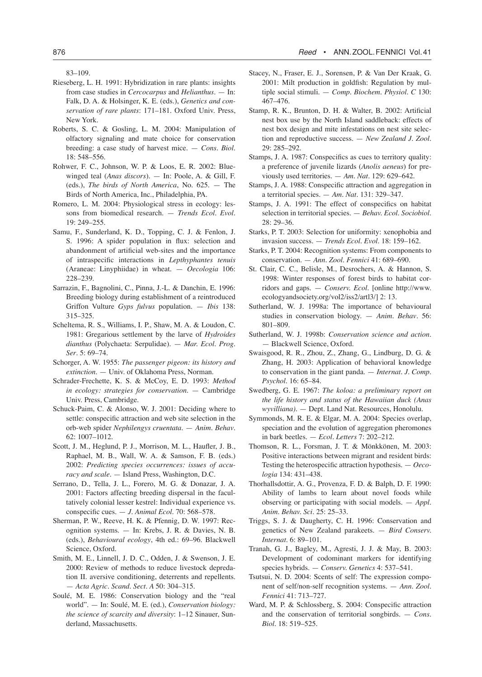83–109.

- Rieseberg, L. H. 1991: Hybridization in rare plants: insights from case studies in *Cercocarpus* and *Helianthus*. — In: Falk, D. A. & Holsinger, K. E. (eds.), *Genetics and conservation of rare plants*: 171–181. Oxford Univ. Press, New York.
- Roberts, S. C. & Gosling, L. M. 2004: Manipulation of olfactory signaling and mate choice for conservation breeding: a case study of harvest mice. — *Cons. Biol*. 18: 548–556.
- Rohwer, F. C., Johnson, W. P. & Loos, E. R. 2002: Bluewinged teal (*Anas discors*). — In: Poole, A. & Gill, F. (eds.), *The birds of North America*, No. 625. — The Birds of North America, Inc., Philadelphia, PA.
- Romero, L. M. 2004: Physiological stress in ecology: lessons from biomedical research. — *Trends Ecol. Evol*. 19: 249–255.
- Samu, F., Sunderland, K. D., Topping, C. J. & Fenlon, J. S. 1996: A spider population in flux: selection and abandonment of artificial web-sites and the importance of intraspecific interactions in *Lepthyphantes tenuis* (Araneae: Linyphiidae) in wheat. — *Oecologia* 106: 228–239.
- Sarrazin, F., Bagnolini, C., Pinna, J.-L. & Danchin, E. 1996: Breeding biology during establishment of a reintroduced Griffon Vulture *Gyps fulvus* population. — *Ibis* 138: 315–325.
- Scheltema, R. S., Williams, I. P., Shaw, M. A. & Loudon, C. 1981: Gregarious settlement by the larve of *Hydroides dianthus* (Polychaeta: Serpulidae). — *Mar. Ecol. Prog. Ser*. 5: 69–74.
- Schorger, A. W. 1955: *The passenger pigeon: its history and extinction*. — Univ. of Oklahoma Press, Norman.
- Schrader-Frechette, K. S. & McCoy, E. D. 1993: *Method in ecology: strategies for conservation*. — Cambridge Univ. Press, Cambridge.
- Schuck-Paim, C. & Alonso, W. J. 2001: Deciding where to settle: conspecific attraction and web site selection in the orb-web spider *Nephilengys cruentata*. — *Anim. Behav*. 62: 1007–1012.
- Scott, J. M., Heglund, P. J., Morrison, M. L., Haufler, J. B., Raphael, M. B., Wall, W. A. & Samson, F. B. (eds.) 2002: *Predicting species occurrences: issues of accuracy and scale*. — Island Press, Washington, D.C.
- Serrano, D., Tella, J. L., Forero, M. G. & Donazar, J. A. 2001: Factors affecting breeding dispersal in the facultatively colonial lesser kestrel: Individual experience vs. conspecific cues. — *J. Animal Ecol*. 70: 568–578.
- Sherman, P. W., Reeve, H. K. & Pfennig, D. W. 1997: Recognition systems. — In: Krebs, J. R. & Davies, N. B. (eds.), *Behavioural ecology*, 4th ed.: 69–96. Blackwell Science, Oxford.
- Smith, M. E., Linnell, J. D. C., Odden, J. & Swenson, J. E. 2000: Review of methods to reduce livestock depredation II. aversive conditioning, deterrents and repellents. — *Acta Agric. Scand. Sect. A* 50: 304–315.
- Soulé, M. E. 1986: Conservation biology and the "real world". — In: Soulé, M. E. (ed.), *Conservation biology: the science of scarcity and diversity*: 1–12 Sinauer, Sunderland, Massachusetts.
- Stacey, N., Fraser, E. J., Sorensen, P. & Van Der Kraak, G. 2001: Milt production in goldfish: Regulation by multiple social stimuli. — *Comp. Biochem. Physiol. C* 130: 467–476.
- Stamp, R. K., Brunton, D. H. & Walter, B. 2002: Artificial nest box use by the North Island saddleback: effects of nest box design and mite infestations on nest site selection and reproductive success. — *New Zealand J. Zool.* 29: 285–292.
- Stamps, J. A. 1987: Conspecifics as cues to territory quality: a preference of juvenile lizards (*Anolis aeneus*) for previously used territories. — *Am. Nat.* 129: 629–642.
- Stamps, J. A. 1988: Conspecific attraction and aggregation in a territorial species. — *Am. Nat.* 131: 329–347.
- Stamps, J. A. 1991: The effect of conspecifics on habitat selection in territorial species. — *Behav. Ecol. Sociobiol*. 28: 29–36.
- Starks, P. T. 2003: Selection for uniformity: xenophobia and invasion success. — *Trends Ecol. Evol*. 18: 159–162.
- Starks, P. T. 2004: Recognition systems: From components to conservation. — *Ann. Zool. Fennici* 41: 689–690.
- St. Clair, C. C., Belisle, M., Desrochers, A. & Hannon, S. 1998: Winter responses of forest birds to habitat corridors and gaps. — *Conserv. Ecol*. [online http://www. ecologyandsociety.org/vol2/iss2/artl3/] 2: 13.
- Sutherland, W. J. 1998a: The importance of behavioural studies in conservation biology. — *Anim. Behav*. 56: 801–809.
- Sutherland, W. J. 1998b: *Conservation science and action*. — Blackwell Science, Oxford.
- Swaisgood, R. R., Zhou, Z., Zhang, G., Lindburg, D. G. & Zhang, H. 2003: Application of behavioral knowledge to conservation in the giant panda. — *Internat. J. Comp. Psychol*. 16: 65–84.
- Swedberg, G. E. 1967: *The koloa: a preliminary report on the life history and status of the Hawaiian duck (Anas wyvilliana)*. — Dept. Land Nat. Resources, Honolulu.
- Symmonds, M. R. E. & Elgar, M. A. 2004: Species overlap, speciation and the evolution of aggregation pheromones in bark beetles. — *Ecol. Letters* 7: 202–212.
- Thomson, R. L., Forsman, J. T. & Mönkkönen, M. 2003: Positive interactions between migrant and resident birds: Testing the heterospecific attraction hypothesis. — *Oecologia* 134: 431–438.
- Thorhallsdottir, A. G., Provenza, F. D. & Balph, D. F. 1990: Ability of lambs to learn about novel foods while observing or participating with social models. — *Appl. Anim. Behav. Sci*. 25: 25–33.
- Triggs, S. J. & Daugherty, C. H. 1996: Conservation and genetics of New Zealand parakeets. — *Bird Conserv. Internat*. 6: 89–101.
- Tranah, G. J., Bagley, M., Agresti, J. J. & May, B. 2003: Development of codominant markers for identifying species hybrids. — *Conserv. Genetics* 4: 537–541.
- Tsutsui, N. D. 2004: Scents of self: The expression component of self/non-self recognition systems. — *Ann. Zool. Fennici* 41: 713–727.
- Ward, M. P. & Schlossberg, S. 2004: Conspecific attraction and the conservation of territorial songbirds. — *Cons. Biol*. 18: 519–525.